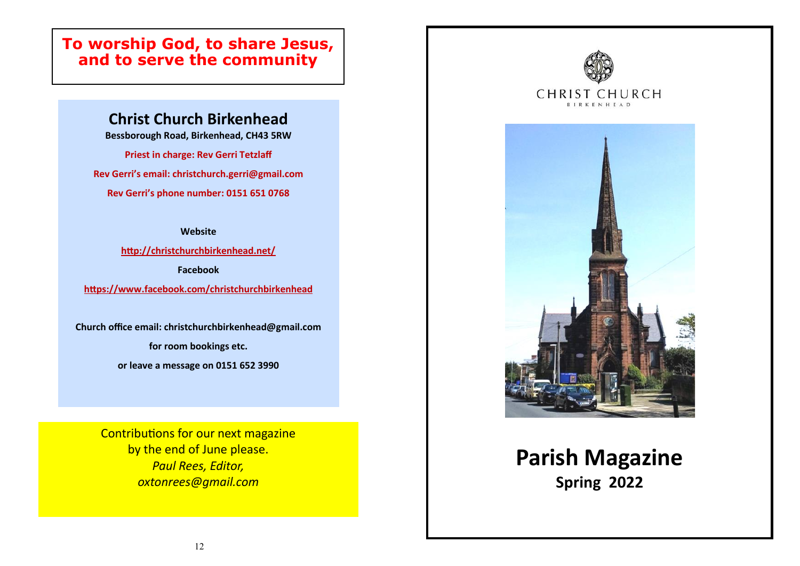# **To worship God, to share Jesus, and to serve the community**

# **Christ Church Birkenhead**

**Bessborough Road, Birkenhead, CH43 5RW**

**Priest in charge: Rev Gerri Tetzlaff**

**Rev Gerri's email: christchurch.gerri@gmail.com**

**Rev Gerri's phone number: 0151 651 0768**

**Website**

**<http://christchurchbirkenhead.net/>**

**Facebook**

**<https://www.facebook.com/christchurchbirkenhead>**

**Church office email: christchurchbirkenhead@gmail.com**

**for room bookings etc.**

**or leave a message on 0151 652 3990**

Contributions for our next magazine by the end of June please. *Paul Rees, Editor, oxtonrees@gmail.com*



# **Parish Magazine Spring 2022**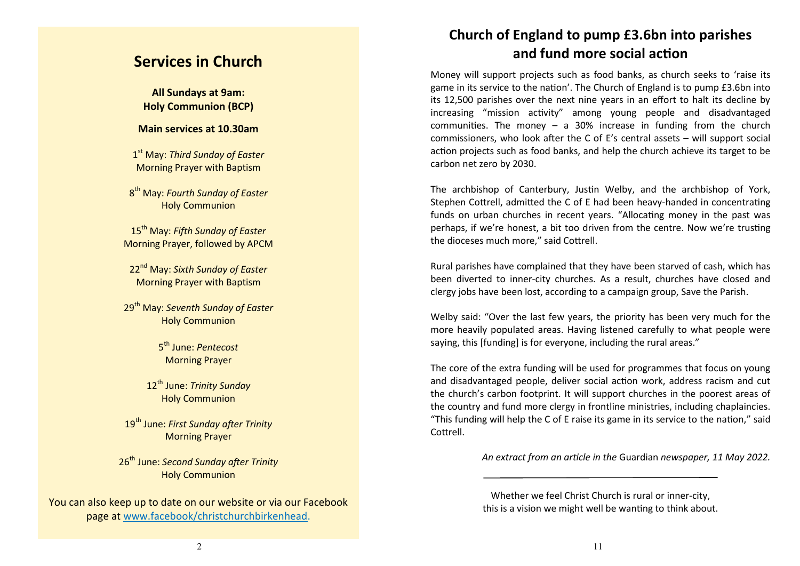## **Services in Church**

**All Sundays at 9am: Holy Communion (BCP)**

#### **Main services at 10.30am**

1 st May: *Third Sunday of Easter* Morning Prayer with Baptism

8 th May: *Fourth Sunday of Easter* Holy Communion

15th May: *Fifth Sunday of Easter* Morning Prayer, followed by APCM

22nd May: *Sixth Sunday of Easter* Morning Prayer with Baptism

29th May: *Seventh Sunday of Easter* Holy Communion

> 5 th June: *Pentecost* Morning Prayer

12th June: *Trinity Sunday* Holy Communion

19th June: *First Sunday after Trinity* Morning Prayer

26th June: *Second Sunday after Trinity* Holy Communion

You can also keep up to date on our website or via our Facebook page at [www.facebook/christchurchbirkenhead.](https://www.facebook.com/christchurchbirkenhead/) 

## **Church of England to pump £3.6bn into parishes and fund more social action**

Money will support projects such as food banks, as church seeks to 'raise its game in its service to the nation'. The Church of England is to pump £3.6bn into its 12,500 parishes over the next nine years in an effort to halt its decline by increasing "mission activity" among young people and disadvantaged communities. The money  $-$  a 30% increase in funding from the church commissioners, who look after the C of E's central assets – will support social action projects such as food banks, and help the church achieve its target to be carbon net zero by 2030.

The archbishop of Canterbury, [Justin Welby,](https://www.theguardian.com/uk/justin-welby) and the archbishop of York, Stephen Cottrell, admitted the C of E had been heavy-handed in concentrating funds on urban churches in recent years. "Allocating money in the past was perhaps, if we're honest, a bit too driven from the centre. Now we're trusting the dioceses much more," said Cottrell.

Rural parishes have complained that they have been starved of cash, which has been diverted to inner-city churches. As a result, churches have closed and clergy jobs have been lost, according to a [campaign group, Save the Parish.](https://www.theguardian.com/world/2021/aug/06/church-of-england-traditionalists-launch-fight-against-worship-in-takeaway-cinema-or-barn)

Welby said: "Over the last few years, the priority has been very much for the more heavily populated areas. Having listened carefully to what people were saying, this [funding] is for everyone, including the rural areas."

The core of the extra funding will be used for programmes that focus on young and disadvantaged people, deliver social action work, address racism and cut the church's carbon footprint. It will support churches in the poorest areas of the country and fund more clergy in frontline ministries, including chaplaincies. "This funding will help the C of E raise its game in its service to the nation," said Cottrell.

*An extract from an article in the* Guardian *newspaper, 11 May 2022.*

Whether we feel Christ Church is rural or inner-city, this is a vision we might well be wanting to think about.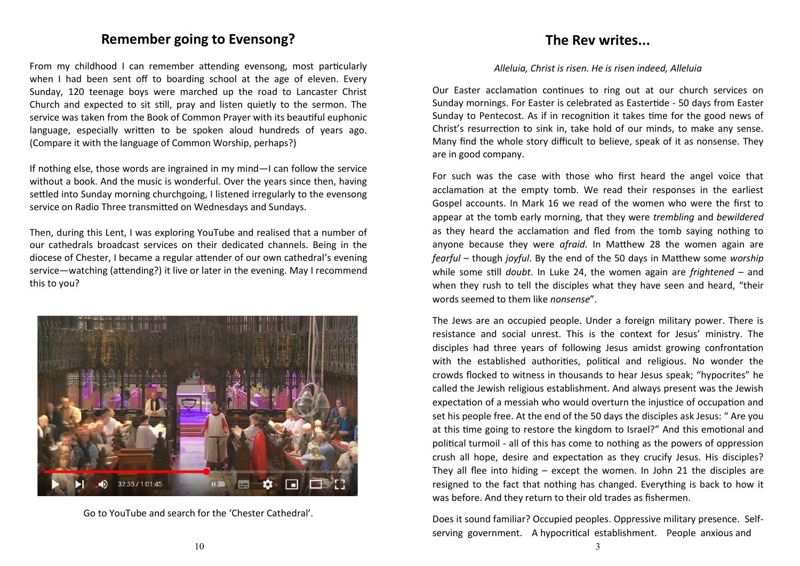#### **Remember going to Evensong?**

From my childhood I can remember attending evensong, most particularly when I had been sent off to boarding school at the age of eleven. Every Sunday, 120 teenage boys were marched up the road to Lancaster Christ Church and expected to sit still, pray and listen quietly to the sermon. The service was taken from the Book of Common Prayer with its beautiful euphonic language, especially written to be spoken aloud hundreds of years ago. (Compare it with the language of Common Worship, perhaps?)

If nothing else, those words are ingrained in my mind—I can follow the service without a book. And the music is wonderful. Over the years since then, having settled into Sunday morning churchgoing, I listened irregularly to the evensong service on Radio Three transmitted on Wednesdays and Sundays.

Then, during this Lent, I was exploring YouTube and realised that a number of our cathedrals broadcast services on their dedicated channels. Being in the diocese of Chester, I became a regular attender of our own cathedral's evening service—watching (attending?) it live or later in the evening. May I recommend this to you?



Go to YouTube and search for the 'Chester Cathedral'.

#### **The Rev writes...**

#### *Alleluia, Christ is risen. He is risen indeed, Alleluia*

Our Easter acclamation continues to ring out at our church services on Sunday mornings. For Easter is celebrated as Eastertide - 50 days from Easter Sunday to Pentecost. As if in recognition it takes time for the good news of Christ's resurrection to sink in, take hold of our minds, to make any sense. Many find the whole story difficult to believe, speak of it as nonsense. They are in good company.

For such was the case with those who first heard the angel voice that acclamation at the empty tomb. We read their responses in the earliest Gospel accounts. In Mark 16 we read of the women who were the first to appear at the tomb early morning, that they were *trembling* and *bewildered* as they heard the acclamation and fled from the tomb saying nothing to anyone because they were *afraid*. In Matthew 28 the women again are *fearful* – though *joyful*. By the end of the 50 days in Matthew some *worship* while some still *doubt*. In Luke 24, the women again are *frightened* – and when they rush to tell the disciples what they have seen and heard, "their words seemed to them like *nonsense*".

The Jews are an occupied people. Under a foreign military power. There is resistance and social unrest. This is the context for Jesus' ministry. The disciples had three years of following Jesus amidst growing confrontation with the established authorities, political and religious. No wonder the crowds flocked to witness in thousands to hear Jesus speak; "hypocrites" he called the Jewish religious establishment. And always present was the Jewish expectation of a messiah who would overturn the injustice of occupation and set his people free. At the end of the 50 days the disciples ask Jesus: " Are you at this time going to restore the kingdom to Israel?" And this emotional and political turmoil - all of this has come to nothing as the powers of oppression crush all hope, desire and expectation as they crucify Jesus. His disciples? They all flee into hiding – except the women. In John 21 the disciples are resigned to the fact that nothing has changed. Everything is back to how it was before. And they return to their old trades as fishermen.

Does it sound familiar? Occupied peoples. Oppressive military presence. Selfserving government. A hypocritical establishment. People anxious and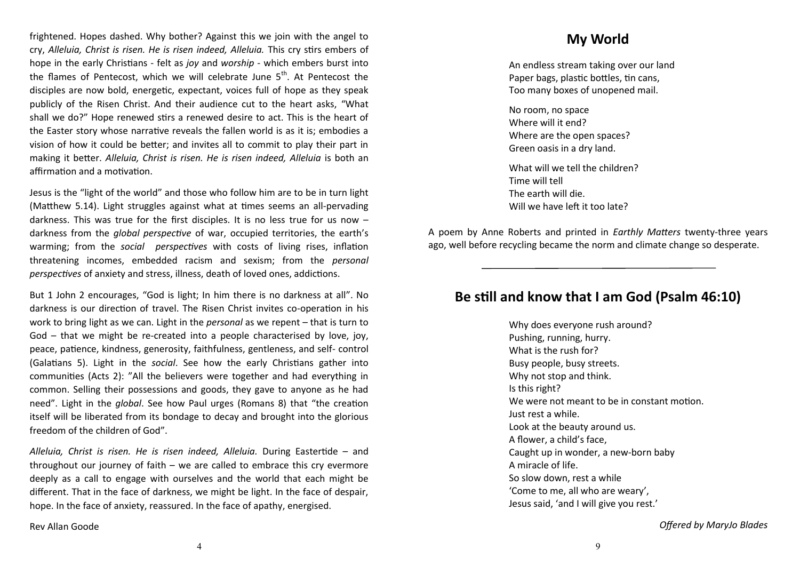frightened. Hopes dashed. Why bother? Against this we join with the angel to cry, *Alleluia, Christ is risen. He is risen indeed, Alleluia.* This cry stirs embers of hope in the early Christians - felt as *joy* and *worship* - which embers burst into the flames of Pentecost, which we will celebrate June  $5<sup>th</sup>$ . At Pentecost the disciples are now bold, energetic, expectant, voices full of hope as they speak publicly of the Risen Christ. And their audience cut to the heart asks, "What shall we do?" Hope renewed stirs a renewed desire to act. This is the heart of the Easter story whose narrative reveals the fallen world is as it is; embodies a vision of how it could be better; and invites all to commit to play their part in making it better. *Alleluia, Christ is risen. He is risen indeed, Alleluia* is both an affirmation and a motivation.

Jesus is the "light of the world" and those who follow him are to be in turn light (Matthew 5.14). Light struggles against what at times seems an all-pervading darkness. This was true for the first disciples. It is no less true for us now – darkness from the *global perspective* of war, occupied territories, the earth's warming; from the *social perspectives* with costs of living rises, inflation threatening incomes, embedded racism and sexism; from the *personal perspectives* of anxiety and stress, illness, death of loved ones, addictions.

But 1 John 2 encourages, "God is light; In him there is no darkness at all". No darkness is our direction of travel. The Risen Christ invites co-operation in his work to bring light as we can. Light in the *personal* as we repent – that is turn to God – that we might be re-created into a people characterised by love, joy, peace, patience, kindness, generosity, faithfulness, gentleness, and self- control (Galatians 5). Light in the *social*. See how the early Christians gather into communities (Acts 2): "All the believers were together and had everything in common. Selling their possessions and goods, they gave to anyone as he had need". Light in the *global*. See how Paul urges (Romans 8) that "the creation itself will be liberated from its bondage to decay and brought into the glorious freedom of the children of God".

*Alleluia, Christ is risen. He is risen indeed, Alleluia.* During Eastertide – and throughout our journey of faith – we are called to embrace this cry evermore deeply as a call to engage with ourselves and the world that each might be different. That in the face of darkness, we might be light. In the face of despair, hope. In the face of anxiety, reassured. In the face of apathy, energised.

**My World**

An endless stream taking over our land Paper bags, plastic bottles, tin cans, Too many boxes of unopened mail.

No room, no space Where will it end? Where are the open spaces? Green oasis in a dry land.

What will we tell the children? Time will tell The earth will die. Will we have left it too late?

A poem by Anne Roberts and printed in *Earthly Matters* twenty-three years ago, well before recycling became the norm and climate change so desperate.

#### **Be still and know that I am God (Psalm 46:10)**

Why does everyone rush around? Pushing, running, hurry. What is the rush for? Busy people, busy streets. Why not stop and think. Is this right? We were not meant to be in constant motion. Just rest a while. Look at the beauty around us. A flower, a child's face, Caught up in wonder, a new-born baby A miracle of life. So slow down, rest a while 'Come to me, all who are weary', Jesus said, 'and I will give you rest.'

Rev Allan Goode

*Offered by MaryJo Blades*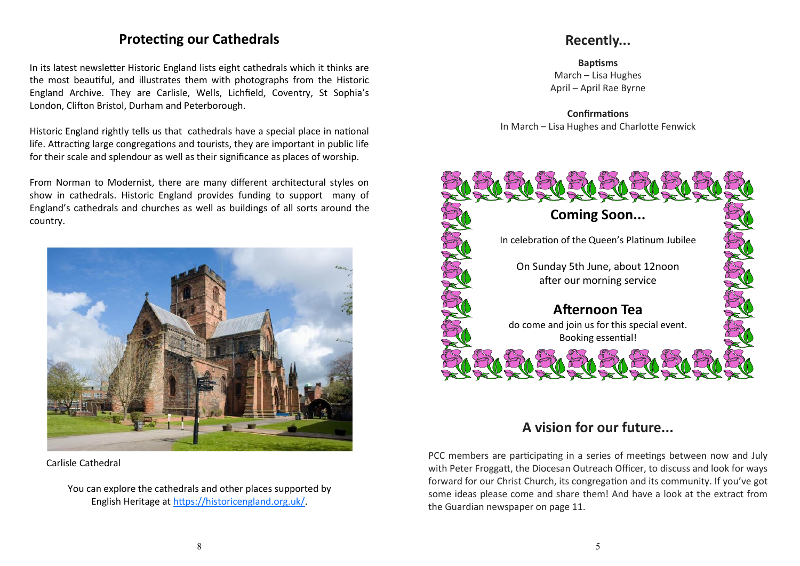#### **Protecting our Cathedrals**

In its latest newsletter Historic England lists eight cathedrals which it thinks are the most beautiful, and illustrates them with photographs from the [Historic](https://historicengland.org.uk/images-books/archive/)  [England Archive.](https://historicengland.org.uk/images-books/archive/) They are Carlisle, Wells, Lichfield, Coventry, St Sophia's London, Clifton Bristol, Durham and Peterborough.

Historic England rightly tells us that cathedrals have a special place in national life. Attracting large congregations and tourists, they are important in public life for their scale and splendour as well as their significance as places of worship.

From Norman to Modernist, there are many different architectural styles on show in cathedrals. Historic England provides funding to support many of England's cathedrals and churches as well as buildings of all sorts around the country.



Carlisle Cathedral

You can explore the cathedrals and other places supported by English Heritage at [https://historicengland.org.uk/.](https://historicengland.org.uk/)

## **Recently...**

**Baptisms** March – Lisa Hughes April – April Rae Byrne

**Confirmations** In March – Lisa Hughes and Charlotte Fenwick



# **A vision for our future...**

PCC members are participating in a series of meetings between now and July with Peter Froggatt, the Diocesan Outreach Officer, to discuss and look for ways forward for our Christ Church, its congregation and its community. If you've got some ideas please come and share them! And have a look at the extract from the Guardian newspaper on page 11.